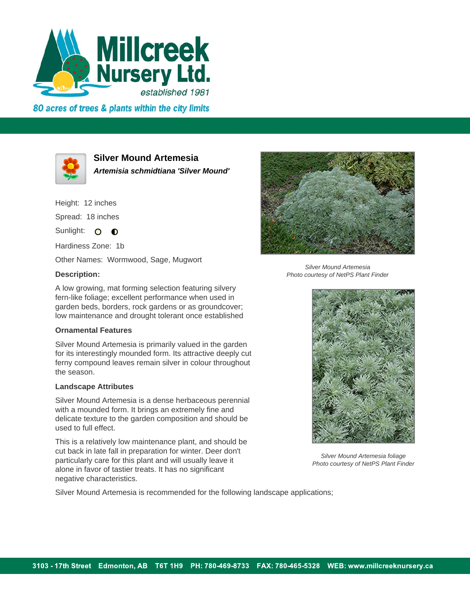

80 acres of trees & plants within the city limits



**Silver Mound Artemesia**

**Artemisia schmidtiana 'Silver Mound'**

Height: 12 inches

Spread: 18 inches

Sunlight: O **O** 

Hardiness Zone: 1b

Other Names: Wormwood, Sage, Mugwort

## **Description:**

A low growing, mat forming selection featuring silvery fern-like foliage; excellent performance when used in garden beds, borders, rock gardens or as groundcover; low maintenance and drought tolerant once established

## **Ornamental Features**

Silver Mound Artemesia is primarily valued in the garden for its interestingly mounded form. Its attractive deeply cut ferny compound leaves remain silver in colour throughout the season.

## **Landscape Attributes**

Silver Mound Artemesia is a dense herbaceous perennial with a mounded form. It brings an extremely fine and delicate texture to the garden composition and should be used to full effect.

This is a relatively low maintenance plant, and should be cut back in late fall in preparation for winter. Deer don't particularly care for this plant and will usually leave it alone in favor of tastier treats. It has no significant negative characteristics.

Silver Mound Artemesia is recommended for the following landscape applications;



Silver Mound Artemesia Photo courtesy of NetPS Plant Finder



Silver Mound Artemesia foliage Photo courtesy of NetPS Plant Finder